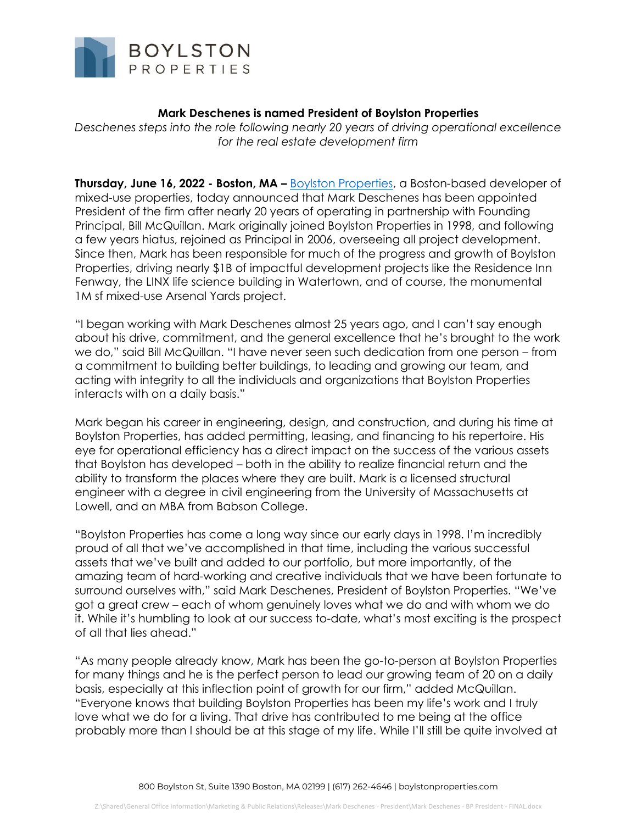

## **Mark Deschenes is named President of Boylston Properties**

*Deschenes steps into the role following nearly 20 years of driving operational excellence for the real estate development firm*

**Thursday, June 16, 2022 - Boston, MA –** [Boylston Properties,](http://www.boylstonproperties.com/) a Boston-based developer of mixed-use properties, today announced that Mark Deschenes has been appointed President of the firm after nearly 20 years of operating in partnership with Founding Principal, Bill McQuillan. Mark originally joined Boylston Properties in 1998, and following a few years hiatus, rejoined as Principal in 2006, overseeing all project development. Since then, Mark has been responsible for much of the progress and growth of Boylston Properties, driving nearly \$1B of impactful development projects like the Residence Inn Fenway, the LINX life science building in Watertown, and of course, the monumental 1M sf mixed-use Arsenal Yards project.

"I began working with Mark Deschenes almost 25 years ago, and I can't say enough about his drive, commitment, and the general excellence that he's brought to the work we do," said Bill McQuillan. "I have never seen such dedication from one person – from a commitment to building better buildings, to leading and growing our team, and acting with integrity to all the individuals and organizations that Boylston Properties interacts with on a daily basis."

Mark began his career in engineering, design, and construction, and during his time at Boylston Properties, has added permitting, leasing, and financing to his repertoire. His eye for operational efficiency has a direct impact on the success of the various assets that Boylston has developed – both in the ability to realize financial return and the ability to transform the places where they are built. Mark is a licensed structural engineer with a degree in civil engineering from the University of Massachusetts at Lowell, and an MBA from Babson College.

"Boylston Properties has come a long way since our early days in 1998. I'm incredibly proud of all that we've accomplished in that time, including the various successful assets that we've built and added to our portfolio, but more importantly, of the amazing team of hard-working and creative individuals that we have been fortunate to surround ourselves with," said Mark Deschenes, President of Boylston Properties. "We've got a great crew – each of whom genuinely loves what we do and with whom we do it. While it's humbling to look at our success to-date, what's most exciting is the prospect of all that lies ahead."

"As many people already know, Mark has been the go-to-person at Boylston Properties for many things and he is the perfect person to lead our growing team of 20 on a daily basis, especially at this inflection point of growth for our firm," added McQuillan. "Everyone knows that building Boylston Properties has been my life's work and I truly love what we do for a living. That drive has contributed to me being at the office probably more than I should be at this stage of my life. While I'll still be quite involved at